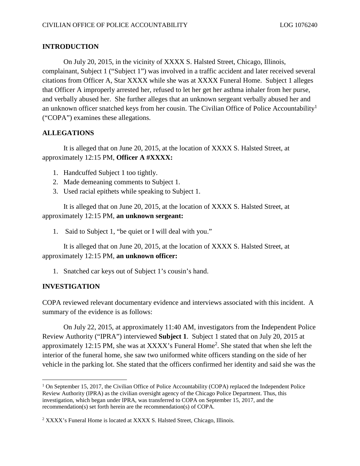## **INTRODUCTION**

On July 20, 2015, in the vicinity of XXXX S. Halsted Street, Chicago, Illinois, complainant, Subject 1 ("Subject 1") was involved in a traffic accident and later received several citations from Officer A, Star XXXX while she was at XXXX Funeral Home. Subject 1 alleges that Officer A improperly arrested her, refused to let her get her asthma inhaler from her purse, and verbally abused her. She further alleges that an unknown sergeant verbally abused her and an unknown officer snatched keys from her cousin. The Civilian Office of Police Accountability<sup>[1](#page-0-0)</sup>  $("COPA")$  examines these allegations.

## **ALLEGATIONS**

It is alleged that on June 20, 2015, at the location of XXXX S. Halsted Street, at approximately 12:15 PM, Officer A #XXXX:

- 1. Handcuffed Subject 1 too tightly.
- 2. Made demeaning comments to Subject 1.
- 3. Used racial epithets while speaking to Subject 1.

It is alleged that on June 20, 2015, at the location of XXXX S. Halsted Street, at approximately 12:15 PM, an unknown sergeant:

1. Said to Subject 1, "be quiet or I will deal with you."

It is alleged that on June 20, 2015, at the location of XXXX S. Halsted Street, at approximately 12:15 PM, **an unknown officer:** 

1. Snatched car keys out of Subject 1's cousin's hand.

## **INVESTIGATION**

COPA reviewed relevant documentary evidence and interviews associated with this incident. A summary of the evidence is as follows:

On July 22, 2015, at approximately 11:40 AM, investigators from the Independent Police Review Authority ("IPRA") interviewed **Subject 1**. Subject 1 stated that on July 20, 2015 at approximately12:15 PM, she was at XXXX's Funeral Home<sup>2</sup>. She stated that when she left the interior of the funeral home, she saw two uniformed white officers standing on the side of her vehicle in the parking lot. She stated that the officers confirmed her identity and said she was the

<span id="page-0-0"></span><sup>&</sup>lt;sup>1</sup> On September 15, 2017, the Civilian Office of Police Accountability (COPA) replaced the Independent Police Review Authority (IPRA) as the civilian oversight agency of the Chicago Police Department. Thus, this investigation, which began under IPRA, was transferred to COPA on September 15, 2017, and the recommendation(s) set forth herein are the recommendation(s) of COPA.

<span id="page-0-1"></span> $2$  XXXX's Funeral Home is located at XXXX S. Halsted Street, Chicago, Illinois.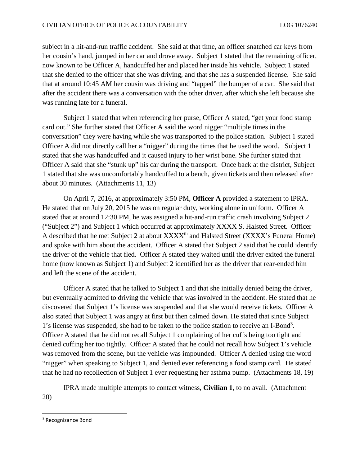subject in a hit-and-run traffic accident. She said at that time, an officer snatched car keys from her cousin's hand, jumped in her car and drove away. Subject 1 stated that the remaining officer, now known to be Officer A, handcuffed her and placed her inside his vehicle. Subject 1 stated that she denied to the officer that she was driving, and that she has a suspended license. She said that at around 10:45 AM her cousin was driving and "tapped" the bumper of a car. She said that after the accident there was a conversation with the other driver, after which she left because she was running late for a funeral.

Subject 1 stated that when referencing her purse, Officer A stated, "get your food stamp card out." She further stated that Officer A said the word nigger "multiple times in the conversation" they were having while she was transported to the police station. Subject 1 stated Officer A did not directly call her a "nigger" during the times that he used the word. Subject 1 stated that she was handcuffed and it caused injury to her wrist bone. She further stated that Officer A said that she "stunk up" his car during the transport. Once back at the district, Subject 1 stated that she was uncomfortably handcuffed to a bench, given tickets and then released after about 30 minutes. (Attachments 11, 13)

On April 7, 2016, at approximately 3:50 PM, **Officer A** provided a statement to IPRA. He stated that on July 20, 2015 he was on regular duty, working alone in uniform. Officer A stated that at around 12:30 PM, he was assigned a hit-and-run traffic crash involving Subject 2 ("Subject 2") and Subject 1 which occurred at approximately XXXX S. Halsted Street. Officer A described that he met Subject 2 at about XXXX<sup>th</sup> and Halsted Street (XXXX's Funeral Home) and spoke with him about the accident. Officer A stated that Subject 2 said that he could identify the driver of the vehicle that fled. Officer A stated they waited until the driver exited the funeral home (now known as Subject 1) and Subject 2 identified her as the driver that rear-ended him and left the scene of the accident.

Officer A stated that he talked to Subject 1 and that she initially denied being the driver, but eventually admitted to driving the vehicle that was involved in the accident. He stated that he discovered that Subject 1's license was suspended and that she would receive tickets. Officer A also stated that Subject 1 was angry at first but then calmed down. He stated that since Subject 1'slicense was suspended, she had to be taken to the police station to receive an I-Bond<sup>[3](#page-1-0)</sup>. Officer A stated that he did not recall Subject 1 complaining of her cuffs being too tight and denied cuffing her too tightly. Officer A stated that he could not recall how Subject 1's vehicle was removed from the scene, but the vehicle was impounded. Officer A denied using the word "nigger" when speaking to Subject 1, and denied ever referencing a food stamp card. He stated that he had no recollection of Subject 1 ever requesting her asthma pump. (Attachments  $18, 19$ )

IPRA made multiple attempts to contact witness, **Civilian 1**, to no avail. (Attachment 20)

<span id="page-1-0"></span><sup>&</sup>lt;sup>3</sup> Recognizance Bond